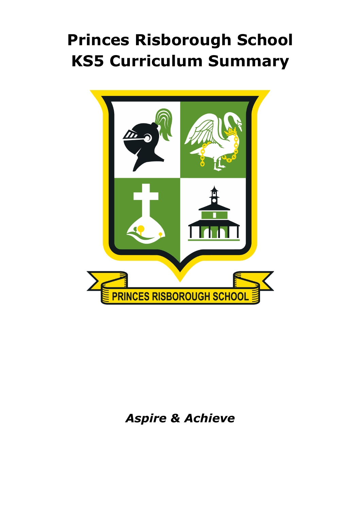# **Princes Risborough School KS5 Curriculum Summary**



# *Aspire & Achieve*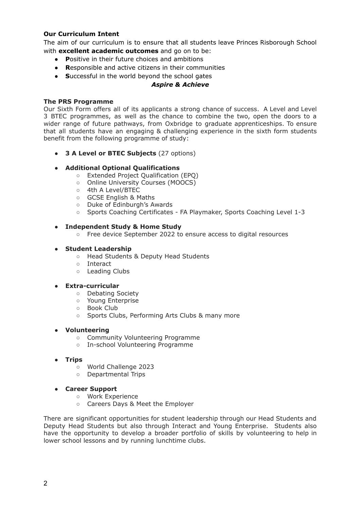## **Our Curriculum Intent**

The aim of our curriculum is to ensure that all students leave Princes Risborough School with **excellent academic outcomes** and go on to be:

- **● P**ositive in their future choices and ambitions
- **● R**esponsible and active citizens in their communities
- **● S**uccessful in the world beyond the school gates

## *Aspire & Achieve*

#### **The PRS Programme**

Our Sixth Form offers all of its applicants a strong chance of success. A Level and Level 3 BTEC programmes, as well as the chance to combine the two, open the doors to a wider range of future pathways, from Oxbridge to graduate apprenticeships. To ensure that all students have an engaging & challenging experience in the sixth form students benefit from the following programme of study:

**● 3 A Level or BTEC Subjects** (27 options)

#### **● Additional Optional Qualifications**

- Extended Project Qualification (EPQ)
- Online University Courses (MOOCS)
- 4th A Level/BTEC
- GCSE English & Maths
- Duke of Edinburgh's Awards
- Sports Coaching Certificates FA Playmaker, Sports Coaching Level 1-3

#### **● Independent Study & Home Study**

○ Free device September 2022 to ensure access to digital resources

#### **● Student Leadership**

- Head Students & Deputy Head Students
- Interact
- Leading Clubs

#### **● Extra-curricular**

- Debating Society
- Young Enterprise
- Book Club
- Sports Clubs, Performing Arts Clubs & many more

#### **● Volunteering**

- Community Volunteering Programme
- In-school Volunteering Programme
- **● Trips**
	- World Challenge 2023
	- Departmental Trips

#### **● Career Support**

- Work Experience
- Careers Days & Meet the Employer

There are significant opportunities for student leadership through our Head Students and Deputy Head Students but also through Interact and Young Enterprise. Students also have the opportunity to develop a broader portfolio of skills by volunteering to help in lower school lessons and by running lunchtime clubs.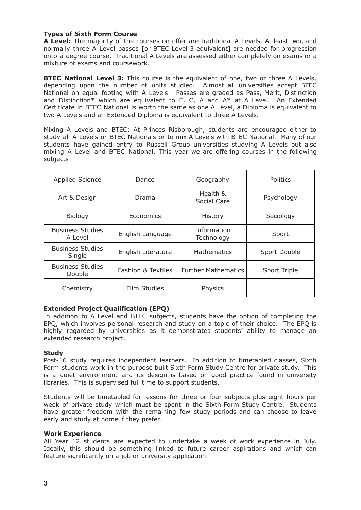## **Types of Sixth Form Course**

**A Level:** The majority of the courses on offer are traditional A Levels. At least two, and normally three A Level passes [or BTEC Level 3 equivalent] are needed for progression onto a degree course. Traditional A Levels are assessed either completely on exams or a mixture of exams and coursework.

**BTEC National Level 3:** This course is the equivalent of one, two or three A Levels, depending upon the number of units studied. Almost all universities accept BTEC National on equal footing with A Levels. Passes are graded as Pass, Merit, Distinction and Distinction\* which are equivalent to E, C, A and  $A^*$  at A Level. An Extended Certificate in BTEC National is worth the same as one A Level, a Diploma is equivalent to two A Levels and an Extended Diploma is equivalent to three A Levels.

Mixing A Levels and BTEC: At Princes Risborough, students are encouraged either to study all A Levels or BTEC Nationals or to mix A Levels with BTEC National. Many of our students have gained entry to Russell Group universities studying A Levels but also mixing A Level and BTEC National. This year we are offering courses in the following subjects:

| <b>Applied Science</b>             | Dance                         | Geography                  | <b>Politics</b> |
|------------------------------------|-------------------------------|----------------------------|-----------------|
| Art & Design                       | Drama                         | Health &<br>Social Care    | Psychology      |
| Biology                            | Economics                     | History                    | Sociology       |
| <b>Business Studies</b><br>A Level | English Language              | Information<br>Technology  | Sport           |
| <b>Business Studies</b><br>Single  | English Literature            | <b>Mathematics</b>         | Sport Double    |
| <b>Business Studies</b><br>Double  | <b>Fashion &amp; Textiles</b> | <b>Further Mathematics</b> | Sport Triple    |
| Chemistry                          | Film Studies                  | Physics                    |                 |

#### **Extended Project Qualification (EPQ)**

In addition to A Level and BTEC subjects, students have the option of completing the EPQ, which involves personal research and study on a topic of their choice. The EPQ is highly regarded by universities as it demonstrates students' ability to manage an extended research project.

#### **Study**

Post-16 study requires independent learners. In addition to timetabled classes, Sixth Form students work in the purpose built Sixth Form Study Centre for private study. This is a quiet environment and its design is based on good practice found in university libraries. This is supervised full time to support students.

Students will be timetabled for lessons for three or four subjects plus eight hours per week of private study which must be spent in the Sixth Form Study Centre. Students have greater freedom with the remaining few study periods and can choose to leave early and study at home if they prefer.

#### **Work Experience**

All Year 12 students are expected to undertake a week of work experience in July. Ideally, this should be something linked to future career aspirations and which can feature significantly on a job or university application.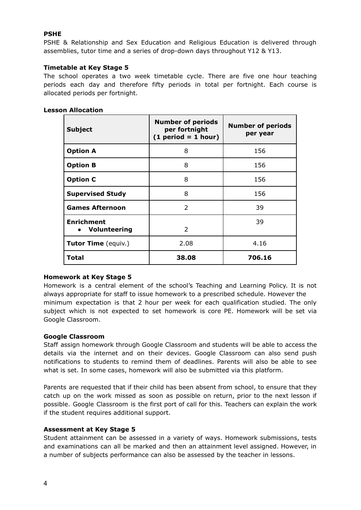# **PSHE**

PSHE & Relationship and Sex Education and Religious Education is delivered through assemblies, tutor time and a series of drop-down days throughout Y12 & Y13.

# **Timetable at Key Stage 5**

The school operates a two week timetable cycle. There are five one hour teaching periods each day and therefore fifty periods in total per fortnight. Each course is allocated periods per fortnight.

| <b>Subject</b>                      | <b>Number of periods</b><br>per fortnight<br>$(1 period = 1 hour)$ | <b>Number of periods</b><br>per year |
|-------------------------------------|--------------------------------------------------------------------|--------------------------------------|
| <b>Option A</b>                     | 8                                                                  | 156                                  |
| <b>Option B</b>                     | 8                                                                  | 156                                  |
| <b>Option C</b>                     | 8                                                                  | 156                                  |
| <b>Supervised Study</b>             | 8                                                                  | 156                                  |
| <b>Games Afternoon</b>              | 2                                                                  | 39                                   |
| <b>Enrichment</b><br>• Volunteering | $\mathcal{L}$                                                      | 39                                   |
| Tutor Time (equiv.)                 | 2.08                                                               | 4.16                                 |
| Total                               | 38.08                                                              | 706.16                               |

# **Homework at Key Stage 5**

Homework is a central element of the school's Teaching and Learning Policy. It is not always appropriate for staff to issue homework to a prescribed schedule. However the minimum expectation is that 2 hour per week for each qualification studied. The only subject which is not expected to set homework is core PE. Homework will be set via Google Classroom.

# **Google Classroom**

Staff assign homework through Google Classroom and students will be able to access the details via the internet and on their devices. Google Classroom can also send push notifications to students to remind them of deadlines. Parents will also be able to see what is set. In some cases, homework will also be submitted via this platform.

Parents are requested that if their child has been absent from school, to ensure that they catch up on the work missed as soon as possible on return, prior to the next lesson if possible. Google Classroom is the first port of call for this. Teachers can explain the work if the student requires additional support.

# **Assessment at Key Stage 5**

Student attainment can be assessed in a variety of ways. Homework submissions, tests and examinations can all be marked and then an attainment level assigned. However, in a number of subjects performance can also be assessed by the teacher in lessons.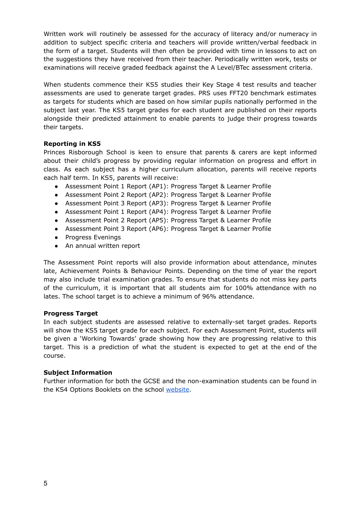Written work will routinely be assessed for the accuracy of literacy and/or numeracy in addition to subject specific criteria and teachers will provide written/verbal feedback in the form of a target. Students will then often be provided with time in lessons to act on the suggestions they have received from their teacher. Periodically written work, tests or examinations will receive graded feedback against the A Level/BTec assessment criteria.

When students commence their KS5 studies their Key Stage 4 test results and teacher assessments are used to generate target grades. PRS uses FFT20 benchmark estimates as targets for students which are based on how similar pupils nationally performed in the subject last year. The KS5 target grades for each student are published on their reports alongside their predicted attainment to enable parents to judge their progress towards their targets.

# **Reporting in KS5**

Princes Risborough School is keen to ensure that parents & carers are kept informed about their child's progress by providing regular information on progress and effort in class. As each subject has a higher curriculum allocation, parents will receive reports each half term. In KS5, parents will receive:

- Assessment Point 1 Report (AP1): Progress Target & Learner Profile
- Assessment Point 2 Report (AP2): Progress Target & Learner Profile
- Assessment Point 3 Report (AP3): Progress Target & Learner Profile
- Assessment Point 1 Report (AP4): Progress Target & Learner Profile
- Assessment Point 2 Report (AP5): Progress Target & Learner Profile
- Assessment Point 3 Report (AP6): Progress Target & Learner Profile
- Progress Evenings
- An annual written report

The Assessment Point reports will also provide information about attendance, minutes late, Achievement Points & Behaviour Points. Depending on the time of year the report may also include trial examination grades. To ensure that students do not miss key parts of the curriculum, it is important that all students aim for 100% attendance with no lates. The school target is to achieve a minimum of 96% attendance.

# **Progress Target**

In each subject students are assessed relative to externally-set target grades. Reports will show the KS5 target grade for each subject. For each Assessment Point, students will be given a 'Working Towards' grade showing how they are progressing relative to this target. This is a prediction of what the student is expected to get at the end of the course.

# **Subject Information**

Further information for both the GCSE and the non-examination students can be found in the KS4 Options Booklets on the school [website](https://www.princesrisborough.bucks.sch.uk/index.asp).